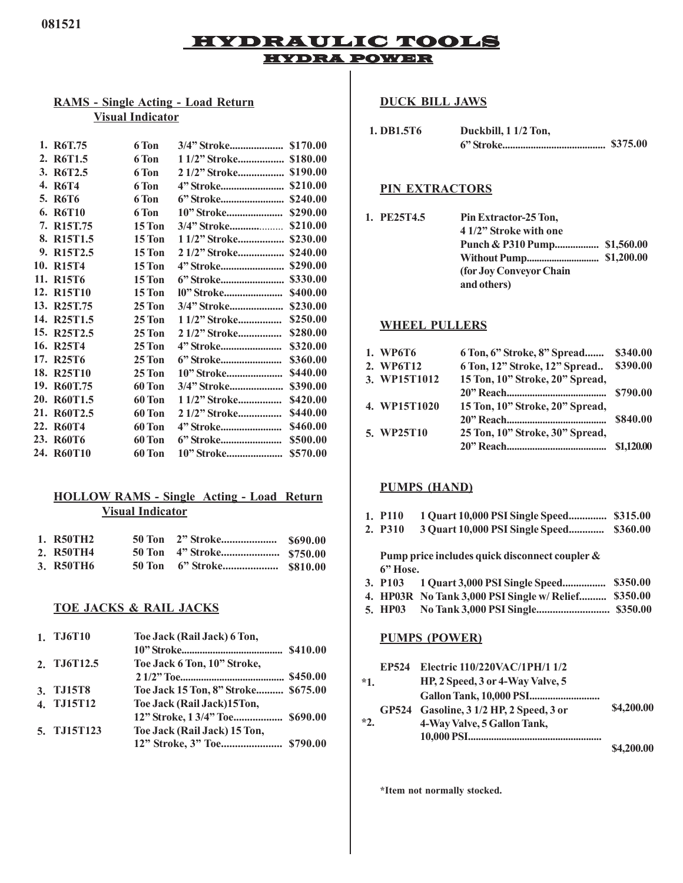# HYDRAULIC TOOLS HYDRA POWER

## **RAMS - Single Acting - Load Return Visual Indicator**

| 1. R6T.75                            | 6 Ton         |                        |          |
|--------------------------------------|---------------|------------------------|----------|
| 2. R6T1.5                            | 6 Ton         | 1 1/2" Stroke \$180.00 |          |
| 3. R6T2.5                            | 6 Ton         |                        |          |
| 4. R6T4                              | 6 Ton         |                        |          |
| 5. R6T6                              | 6 Ton         |                        | \$240.00 |
| 6. R6T10                             | 6 Ton         | 10" Stroke             | \$290.00 |
| 7. R <sub>15</sub> T <sub>.75</sub>  | 15 Ton        | 3/4" Stroke            | \$210.00 |
| 8. R <sub>15</sub> T <sub>1.5</sub>  | 15 Ton        | 1 1/2" Stroke          | \$230.00 |
| 9. R15T2.5                           | 15 Ton        | 2 1/2" Stroke          | \$240.00 |
| 10. R <sub>15</sub> T <sub>4</sub>   | <b>15 Ton</b> |                        | \$290.00 |
| 11. R <sub>15</sub> T <sub>6</sub>   | <b>15 Ton</b> | 6" Stroke              | \$330.00 |
| 12. R <sub>15</sub> T <sub>10</sub>  | 15 Ton        | 10" Stroke             | \$400.00 |
| 13. R <sub>25</sub> T <sub>.75</sub> | $25$ Ton      | 3/4" Stroke            | \$230.00 |
| 14. R <sub>25</sub> T <sub>1.5</sub> | $25$ Ton      | 1 1/2" Stroke          | \$250.00 |
| 15. R <sub>25</sub> T <sub>2.5</sub> | <b>25 Ton</b> | 2 1/2" Stroke          | \$280.00 |
| 16. R25T4                            | <b>25 Ton</b> |                        | \$320.00 |
| 17. R25T6                            | 25 Ton        | 6" Stroke              | \$360.00 |
| 18. R25T10                           | 25 Ton        |                        | \$440.00 |
| 19. R60T.75                          | 60 Ton        |                        | \$390.00 |
| 20. R60T1.5                          | <b>60 Ton</b> | 1 1/2" Stroke          | \$420.00 |
| 21. R60T2.5                          | 60 Ton        | 2 1/2" Stroke          | \$440.00 |
| 22. R60T4                            | 60 Ton        |                        | \$460.00 |
| 23. R60T6                            | 60 Ton        |                        | \$500.00 |
| 24. R60T10                           | 60 Ton        |                        | \$570.00 |

### **HOLLOW RAMS - Single Acting - Load Return Visual Indicator**

| 1. R50TH2 |  |  |
|-----------|--|--|
| 2. R50TH4 |  |  |
| 3. R50TH6 |  |  |

### **TOE JACKS & RAIL JACKS**

| 1. TJ6T10   | Toe Jack (Rail Jack) 6 Ton,         |  |
|-------------|-------------------------------------|--|
|             |                                     |  |
| 2. TJ6T12.5 | Toe Jack 6 Ton, 10" Stroke,         |  |
|             |                                     |  |
| 3. TJ15T8   | Toe Jack 15 Ton, 8" Stroke \$675.00 |  |
| 4. TJ15T12  | Toe Jack (Rail Jack)15Ton,          |  |
|             |                                     |  |
| 5. TJ15T123 | Toe Jack (Rail Jack) 15 Ton,        |  |
|             |                                     |  |
|             |                                     |  |

### **DUCK BILL JAWS**

| 1. DB1.5T6 | Duckbill, 1 1/2 Ton, |          |
|------------|----------------------|----------|
|            |                      | \$375.00 |

### **PIN EXTRACTORS**

Pin Extractor-25 Ton, **4 1/2" Stroke with one Punch & P310 Pump................. \$1,560.00 Without Pump............................. \$1,200.00 (for Joy Conveyor Chain and others) 1.**

#### **WHEEL PULLERS**

| 1. WP6T6     | 6 Ton, 6" Stroke, 8" Spread     | \$340.00   |
|--------------|---------------------------------|------------|
| 2. WP6T12    | 6 Ton, 12" Stroke, 12" Spread   | \$390.00   |
| 3. WP15T1012 | 15 Ton, 10" Stroke, 20" Spread, |            |
|              |                                 |            |
| 4. WP15T1020 | 15 Ton, 10" Stroke, 20" Spread, |            |
|              |                                 | \$840.00   |
| 5. WP25T10   | 25 Ton, 10" Stroke, 30" Spread, |            |
|              |                                 | \$1,120.00 |

#### **PUMPS (HAND)**

|  | 1. P110 | 1 Quart 10,000 PSI Single Speed \$315.00 |  |
|--|---------|------------------------------------------|--|
|--|---------|------------------------------------------|--|

**P310 3 Quart 10,000 PSI Single Speed............. \$360.00 2.**

**Pump price includes quick disconnect coupler & 6" Hose.**

- **P103 1 Quart 3,000 PSI Single Speed................ \$350.00 3.**
- **HP03R No Tank 3,000 PSI Single w/ Relief.......... \$350.00 4.**
- **HP03 No Tank 3,000 PSI Single........................... \$350.00 5.**

#### **PUMPS (POWER)**

| EP524<br>$*1.$ | Electric 110/220VAC/1PH/1 1/2<br>HP, 2 Speed, 3 or 4-Way Valve, 5      |            |
|----------------|------------------------------------------------------------------------|------------|
| $*2.$          | GP524 Gasoline, 3 1/2 HP, 2 Speed, 3 or<br>4-Way Valve, 5 Gallon Tank, | \$4,200.00 |
|                |                                                                        | \$4,200.00 |

**\*Item not normally stocked.**